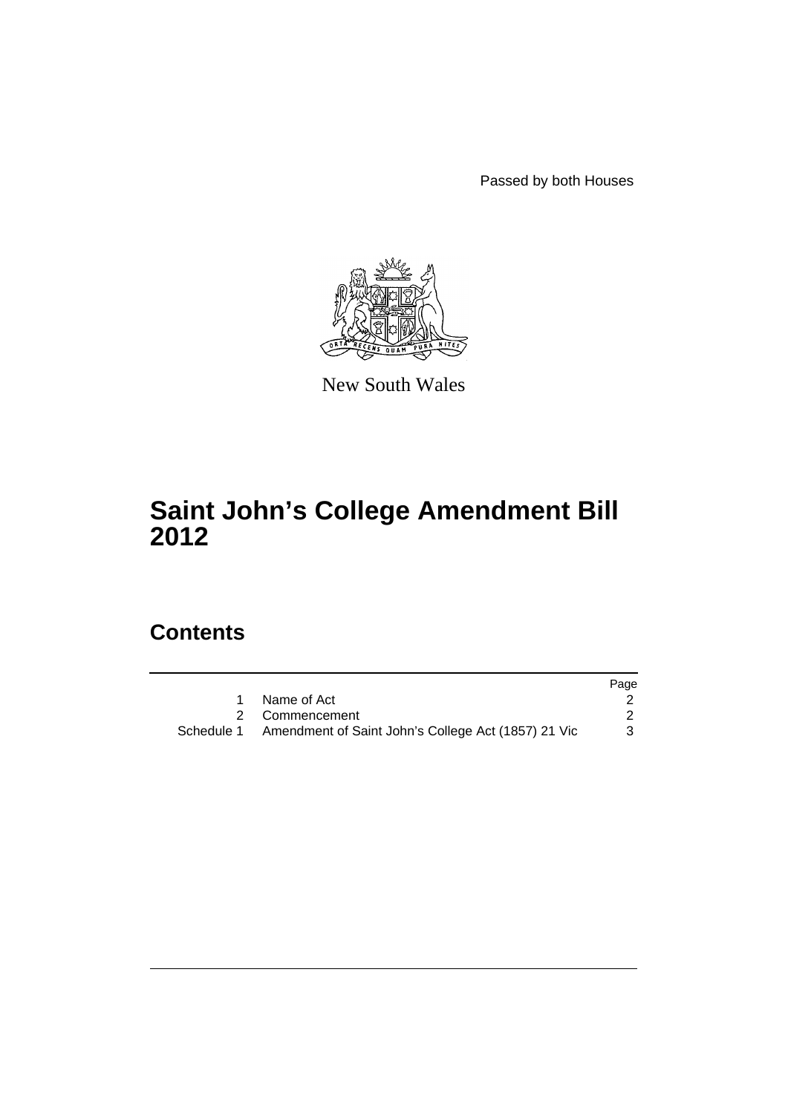Passed by both Houses



New South Wales

# **Saint John's College Amendment Bill 2012**

### **Contents**

|                                                                | Page |
|----------------------------------------------------------------|------|
| Name of Act                                                    |      |
| 2 Commencement                                                 |      |
| Schedule 1 Amendment of Saint John's College Act (1857) 21 Vic |      |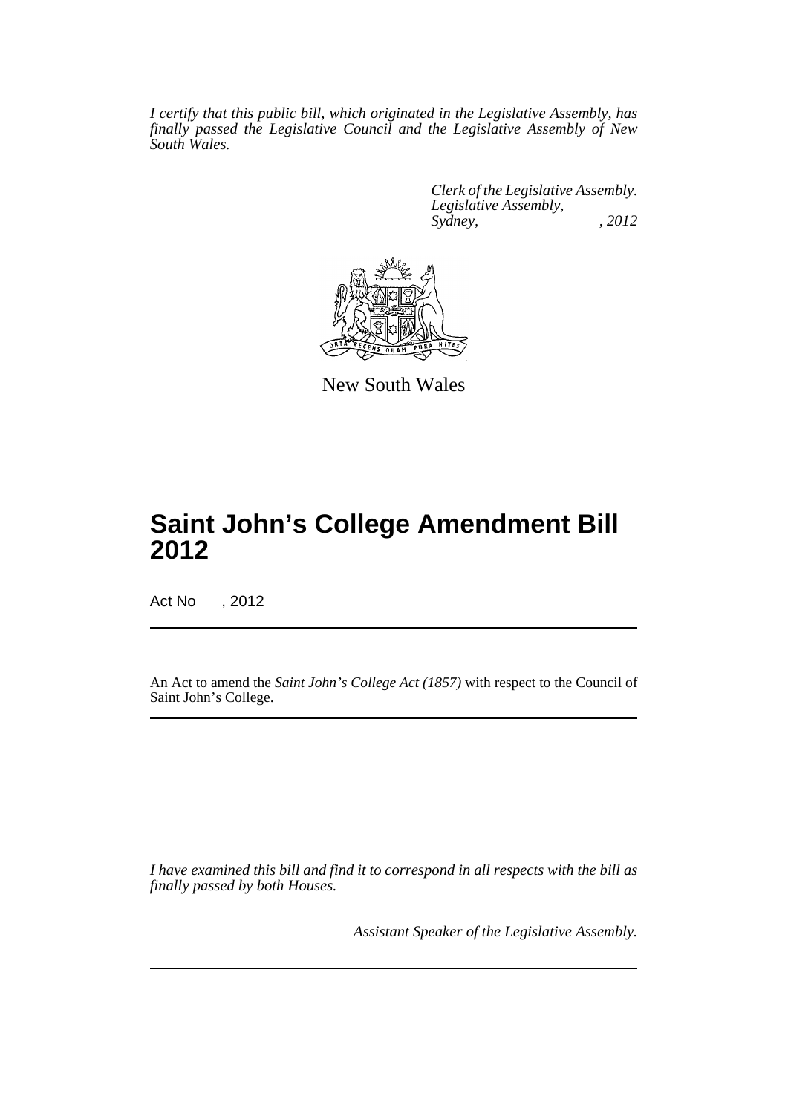*I certify that this public bill, which originated in the Legislative Assembly, has finally passed the Legislative Council and the Legislative Assembly of New South Wales.*

> *Clerk of the Legislative Assembly. Legislative Assembly, Sydney, , 2012*



New South Wales

## **Saint John's College Amendment Bill 2012**

Act No , 2012

An Act to amend the *Saint John's College Act (1857)* with respect to the Council of Saint John's College.

*I have examined this bill and find it to correspond in all respects with the bill as finally passed by both Houses.*

*Assistant Speaker of the Legislative Assembly.*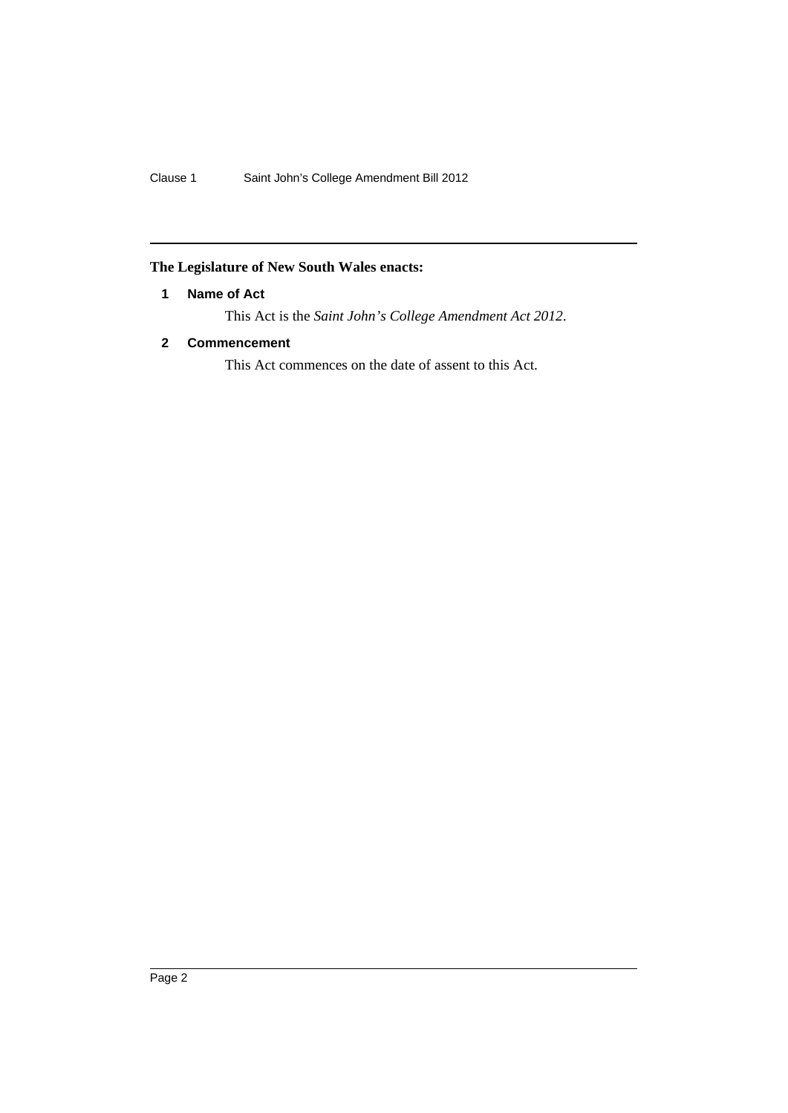### <span id="page-3-0"></span>**The Legislature of New South Wales enacts:**

#### **1 Name of Act**

This Act is the *Saint John's College Amendment Act 2012*.

#### <span id="page-3-1"></span>**2 Commencement**

This Act commences on the date of assent to this Act.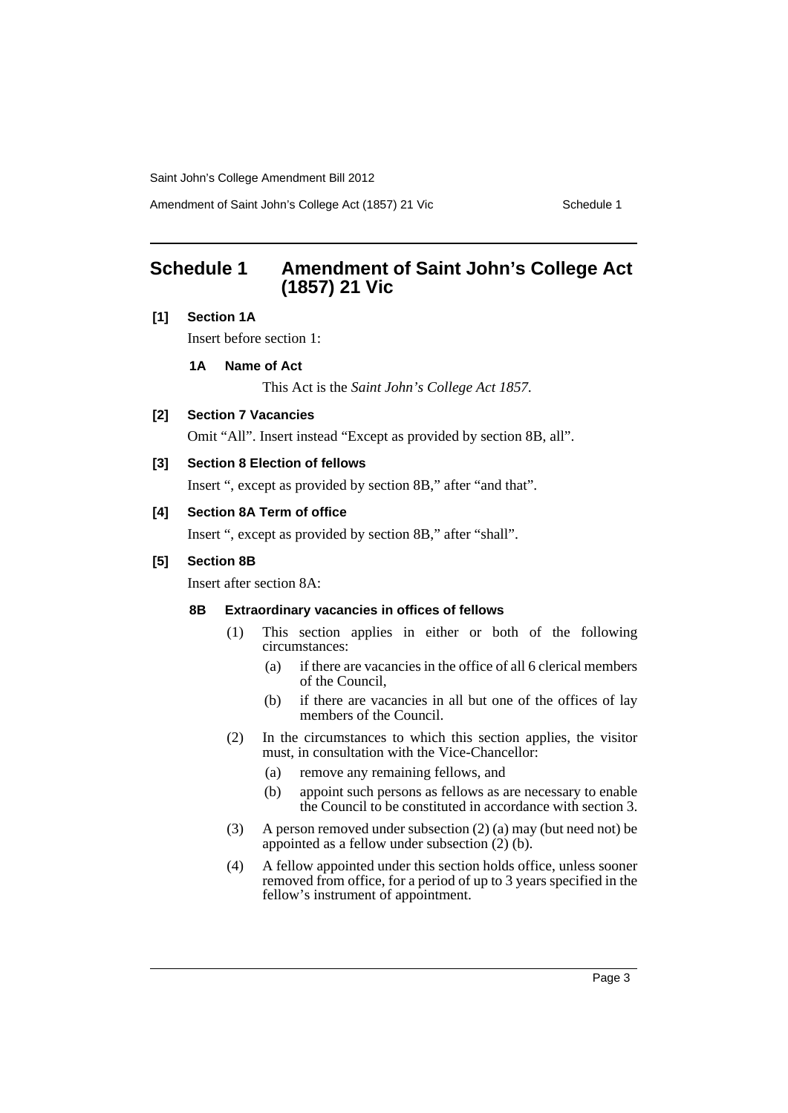Saint John's College Amendment Bill 2012

Amendment of Saint John's College Act (1857) 21 Vic Schedule 1

### <span id="page-4-0"></span>**Schedule 1 Amendment of Saint John's College Act (1857) 21 Vic**

#### **[1] Section 1A**

Insert before section 1:

#### **1A Name of Act**

This Act is the *Saint John's College Act 1857.*

#### **[2] Section 7 Vacancies**

Omit "All". Insert instead "Except as provided by section 8B, all".

#### **[3] Section 8 Election of fellows**

Insert ", except as provided by section 8B," after "and that".

#### **[4] Section 8A Term of office**

Insert ", except as provided by section 8B," after "shall".

#### **[5] Section 8B**

Insert after section 8A:

#### **8B Extraordinary vacancies in offices of fellows**

- (1) This section applies in either or both of the following circumstances:
	- (a) if there are vacancies in the office of all 6 clerical members of the Council,
	- (b) if there are vacancies in all but one of the offices of lay members of the Council.
- (2) In the circumstances to which this section applies, the visitor must, in consultation with the Vice-Chancellor:
	- (a) remove any remaining fellows, and
	- (b) appoint such persons as fellows as are necessary to enable the Council to be constituted in accordance with section 3.
- (3) A person removed under subsection (2) (a) may (but need not) be appointed as a fellow under subsection (2) (b).
- (4) A fellow appointed under this section holds office, unless sooner removed from office, for a period of up to 3 years specified in the fellow's instrument of appointment.